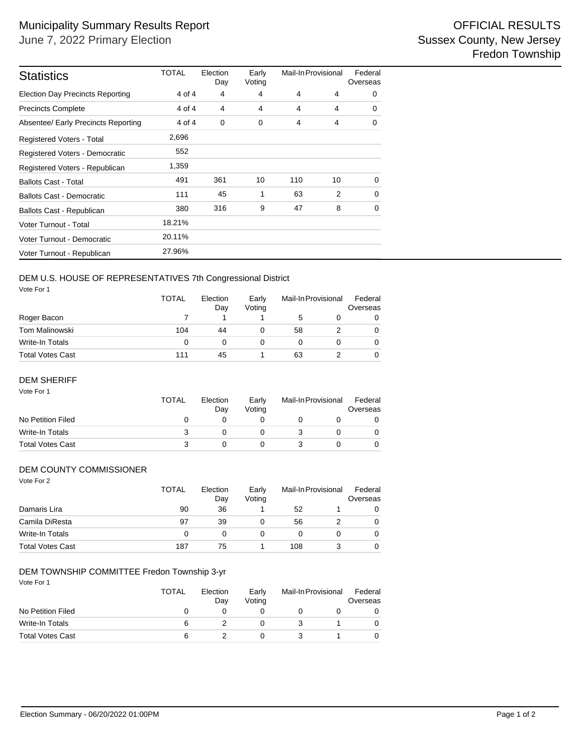| <b>Statistics</b>                       | <b>TOTAL</b> | Election<br>Day | Early<br>Voting | Mail-In Provisional |    | Federal<br>Overseas |  |
|-----------------------------------------|--------------|-----------------|-----------------|---------------------|----|---------------------|--|
| <b>Election Day Precincts Reporting</b> | 4 of 4       | 4               | 4               | 4                   | 4  | $\Omega$            |  |
| <b>Precincts Complete</b>               | 4 of 4       | 4               | 4               | 4                   | 4  | $\Omega$            |  |
| Absentee/ Early Precincts Reporting     | 4 of 4       | 0               | 0               | 4                   | 4  | 0                   |  |
| Registered Voters - Total               | 2,696        |                 |                 |                     |    |                     |  |
| Registered Voters - Democratic          | 552          |                 |                 |                     |    |                     |  |
| Registered Voters - Republican          | 1,359        |                 |                 |                     |    |                     |  |
| <b>Ballots Cast - Total</b>             | 491          | 361             | 10              | 110                 | 10 | $\Omega$            |  |
| Ballots Cast - Democratic               | 111          | 45              | 1               | 63                  | 2  | $\Omega$            |  |
| Ballots Cast - Republican               | 380          | 316             | 9               | 47                  | 8  | 0                   |  |
| Voter Turnout - Total                   | 18.21%       |                 |                 |                     |    |                     |  |
| Voter Turnout - Democratic              | 20.11%       |                 |                 |                     |    |                     |  |
| Voter Turnout - Republican              | 27.96%       |                 |                 |                     |    |                     |  |

# DEM U.S. HOUSE OF REPRESENTATIVES 7th Congressional District

Vote For 1

|                  | <b>TOTAL</b> | Election<br>Day | Early<br>Votina | Mail-In Provisional |  | Federal<br>Overseas |
|------------------|--------------|-----------------|-----------------|---------------------|--|---------------------|
| Roger Bacon      |              |                 |                 | 5                   |  | 0                   |
| Tom Malinowski   | 104          | 44              |                 | 58                  |  | 0                   |
| Write-In Totals  | 0            |                 |                 |                     |  | 0                   |
| Total Votes Cast | 111          | 45              |                 | 63                  |  | 0                   |

### DEM SHERIFF

| Vote For 1              | <b>TOTAL</b> | Election<br>Day | Early<br>Votina | Mail-In Provisional |  | Federal<br>Overseas |
|-------------------------|--------------|-----------------|-----------------|---------------------|--|---------------------|
| No Petition Filed       | O            |                 |                 |                     |  |                     |
| Write-In Totals         | 3            |                 |                 |                     |  |                     |
| <b>Total Votes Cast</b> | 3            |                 |                 |                     |  |                     |

## DEM COUNTY COMMISSIONER

| Vote For 2              | <b>TOTAL</b> | Election<br>Day | Early<br>Voting | Mail-In Provisional |  | Federal<br>Overseas |
|-------------------------|--------------|-----------------|-----------------|---------------------|--|---------------------|
| Damaris Lira            | 90           | 36              |                 | 52                  |  | 0                   |
| Camila DiResta          | 97           | 39              | 0               | 56                  |  | 0                   |
| Write-In Totals         | 0            | 0               | 0               | 0                   |  | 0                   |
| <b>Total Votes Cast</b> | 187          | 75              |                 | 108                 |  | 0                   |

## DEM TOWNSHIP COMMITTEE Fredon Township 3-yr

| Vote For 1              | <b>TOTAL</b> | Election<br>Day | Early<br>Voting | Mail-In Provisional | Federal<br>Overseas |
|-------------------------|--------------|-----------------|-----------------|---------------------|---------------------|
| No Petition Filed       | O            |                 |                 |                     |                     |
| Write-In Totals         | 6            |                 |                 |                     |                     |
| <b>Total Votes Cast</b> | 6            |                 |                 |                     |                     |